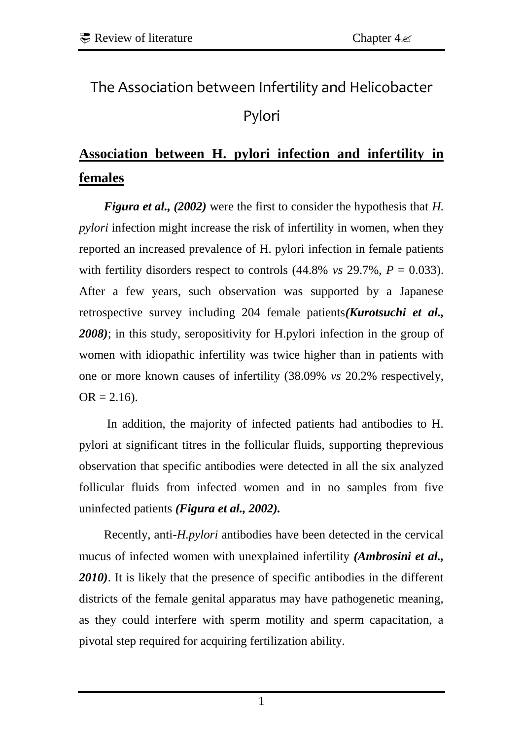## The Association between Infertility and Helicobacter Pylori

## **Association between H. pylori infection and infertility in females**

*Figura et al., (2002)* were the first to consider the hypothesis that *H. pylori* infection might increase the risk of infertility in women, when they reported an increased prevalence of H. pylori infection in female patients with fertility disorders respect to controls  $(44.8\% \text{ vs } 29.7\%, P = 0.033)$ . After a few years, such observation was supported by a Japanese retrospective survey including 204 female patients*(Kurotsuchi et al., 2008)*; in this study, seropositivity for H.pylori infection in the group of women with idiopathic infertility was twice higher than in patients with one or more known causes of infertility (38.09% *vs* 20.2% respectively,  $OR = 2.16$ .

In addition, the majority of infected patients had antibodies to H. pylori at significant titres in the follicular fluids, supporting theprevious observation that specific antibodies were detected in all the six analyzed follicular fluids from infected women and in no samples from five uninfected patients *(Figura et al., 2002).*

Recently, anti-*H.pylori* antibodies have been detected in the cervical mucus of infected women with unexplained infertility *(Ambrosini et al., 2010)*. It is likely that the presence of specific antibodies in the different districts of the female genital apparatus may have pathogenetic meaning, as they could interfere with sperm motility and sperm capacitation, a pivotal step required for acquiring fertilization ability.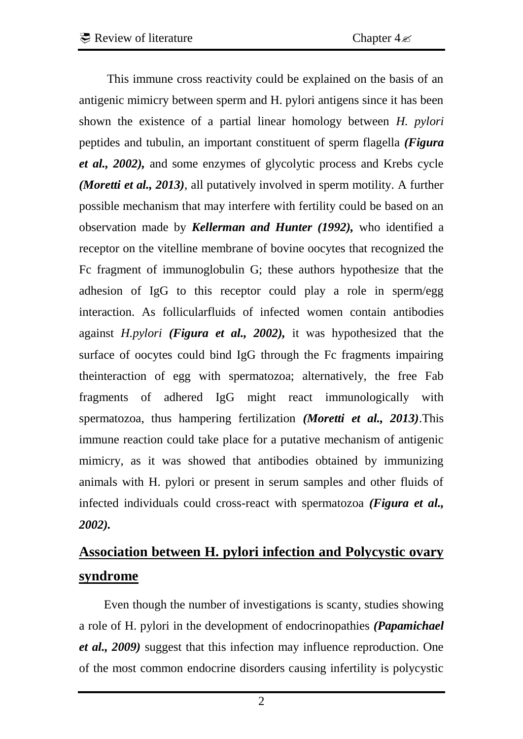This immune cross reactivity could be explained on the basis of an antigenic mimicry between sperm and H. pylori antigens since it has been shown the existence of a partial linear homology between *H. pylori*  peptides and tubulin, an important constituent of sperm flagella *(Figura et al., 2002),* and some enzymes of glycolytic process and Krebs cycle *(Moretti et al., 2013)*, all putatively involved in sperm motility. A further possible mechanism that may interfere with fertility could be based on an observation made by *Kellerman and Hunter (1992),* who identified a receptor on the vitelline membrane of bovine oocytes that recognized the Fc fragment of immunoglobulin G; these authors hypothesize that the adhesion of IgG to this receptor could play a role in sperm/egg interaction. As follicularfluids of infected women contain antibodies against *H.pylori (Figura et al., 2002),* it was hypothesized that the surface of oocytes could bind IgG through the Fc fragments impairing theinteraction of egg with spermatozoa; alternatively, the free Fab fragments of adhered IgG might react immunologically with spermatozoa, thus hampering fertilization *(Moretti et al., 2013)*.This immune reaction could take place for a putative mechanism of antigenic mimicry, as it was showed that antibodies obtained by immunizing animals with H. pylori or present in serum samples and other fluids of infected individuals could cross-react with spermatozoa *(Figura et al., 2002).* 

## **Association between H. pylori infection and Polycystic ovary syndrome**

Even though the number of investigations is scanty, studies showing a role of H. pylori in the development of endocrinopathies *(Papamichael et al., 2009)* suggest that this infection may influence reproduction. One of the most common endocrine disorders causing infertility is polycystic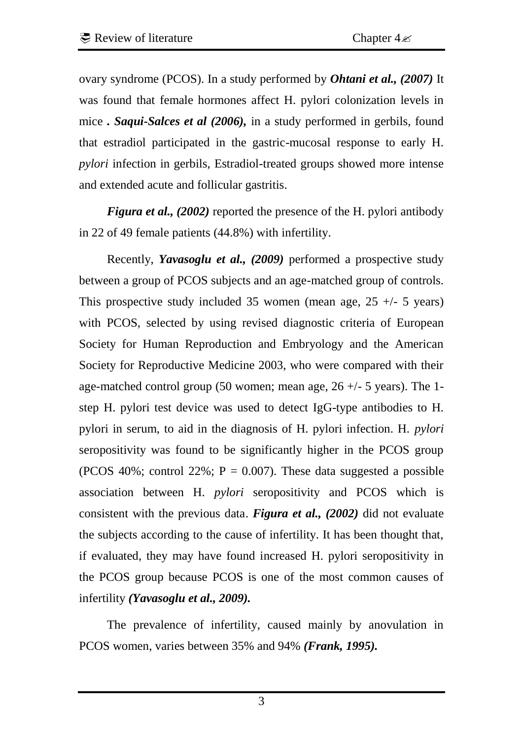ovary syndrome (PCOS). In a study performed by *Ohtani et al., (2007)* It was found that female hormones affect H. pylori colonization levels in mice *. Saqui-Salces et al (2006),* in a study performed in gerbils, found that estradiol participated in the gastric-mucosal response to early H. *pylori* infection in gerbils, Estradiol-treated groups showed more intense and extended acute and follicular gastritis.

*Figura et al., (2002)* reported the presence of the H. pylori antibody in 22 of 49 female patients (44.8%) with infertility.

Recently, *Yavasoglu et al., (2009)* performed a prospective study between a group of PCOS subjects and an age-matched group of controls. This prospective study included 35 women (mean age,  $25 +/- 5$  years) with PCOS, selected by using revised diagnostic criteria of European Society for Human Reproduction and Embryology and the American Society for Reproductive Medicine 2003, who were compared with their age-matched control group (50 women; mean age,  $26 +/- 5$  years). The 1step H. pylori test device was used to detect IgG-type antibodies to H. pylori in serum, to aid in the diagnosis of H. pylori infection. H. *pylori* seropositivity was found to be significantly higher in the PCOS group (PCOS 40%; control 22%;  $P = 0.007$ ). These data suggested a possible association between H. *pylori* seropositivity and PCOS which is consistent with the previous data. *Figura et al., (2002)* did not evaluate the subjects according to the cause of infertility. It has been thought that, if evaluated, they may have found increased H. pylori seropositivity in the PCOS group because PCOS is one of the most common causes of infertility *(Yavasoglu et al., 2009).*

The prevalence of infertility, caused mainly by anovulation in PCOS women, varies between 35% and 94% *(Frank, 1995).*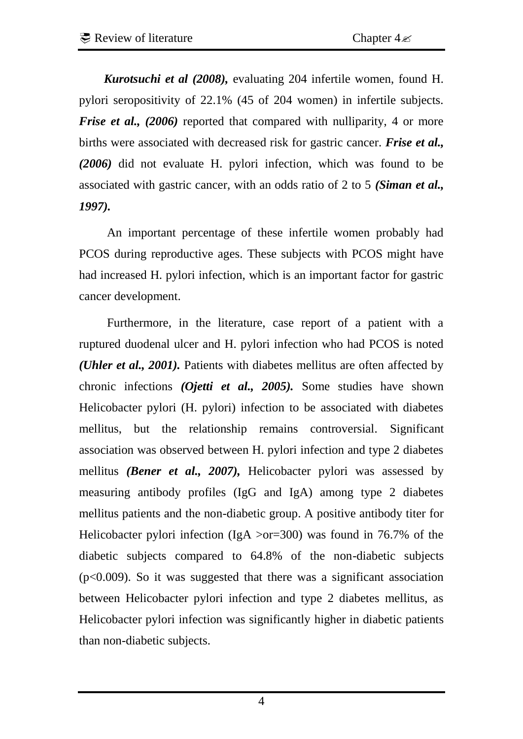*Kurotsuchi et al (2008),* evaluating 204 infertile women, found H. pylori seropositivity of 22.1% (45 of 204 women) in infertile subjects. *Frise et al., (2006)* reported that compared with nulliparity, 4 or more births were associated with decreased risk for gastric cancer. *Frise et al., (2006)* did not evaluate H. pylori infection, which was found to be associated with gastric cancer, with an odds ratio of 2 to 5 *(Siman et al., 1997).*

An important percentage of these infertile women probably had PCOS during reproductive ages. These subjects with PCOS might have had increased H. pylori infection, which is an important factor for gastric cancer development.

Furthermore, in the literature, case report of a patient with a ruptured duodenal ulcer and H. pylori infection who had PCOS is noted *(Uhler et al., 2001).* Patients with diabetes mellitus are often affected by chronic infections *(Ojetti et al., 2005).* Some studies have shown Helicobacter pylori (H. pylori) infection to be associated with diabetes mellitus, but the relationship remains controversial. Significant association was observed between H. pylori infection and type 2 diabetes mellitus *(Bener et al., 2007),* Helicobacter pylori was assessed by measuring antibody profiles (IgG and IgA) among type 2 diabetes mellitus patients and the non-diabetic group. A positive antibody titer for Helicobacter pylori infection (IgA  $>or=300$ ) was found in 76.7% of the diabetic subjects compared to 64.8% of the non-diabetic subjects  $(p<0.009)$ . So it was suggested that there was a significant association between Helicobacter pylori infection and type 2 diabetes mellitus, as Helicobacter pylori infection was significantly higher in diabetic patients than non-diabetic subjects.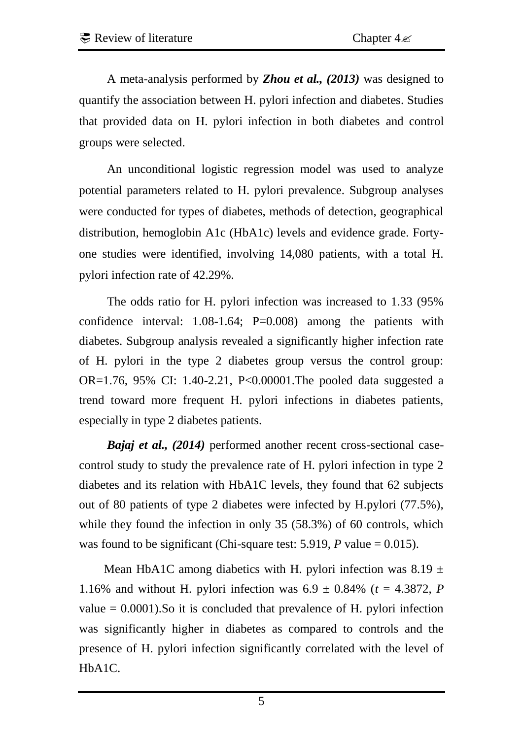A meta-analysis performed by *Zhou et al., (2013)* was designed to quantify the association between H. pylori infection and diabetes. Studies that provided data on H. pylori infection in both diabetes and control groups were selected.

An unconditional logistic regression model was used to analyze potential parameters related to H. pylori prevalence. Subgroup analyses were conducted for types of diabetes, methods of detection, geographical distribution, hemoglobin A1c (HbA1c) levels and evidence grade. Fortyone studies were identified, involving 14,080 patients, with a total H. pylori infection rate of 42.29%.

The odds ratio for H. pylori infection was increased to 1.33 (95% confidence interval: 1.08-1.64; P=0.008) among the patients with diabetes. Subgroup analysis revealed a significantly higher infection rate of H. pylori in the type 2 diabetes group versus the control group: OR=1.76, 95% CI: 1.40-2.21, P<0.00001.The pooled data suggested a trend toward more frequent H. pylori infections in diabetes patients, especially in type 2 diabetes patients.

*Bajaj et al., (2014)* performed another recent cross-sectional casecontrol study to study the prevalence rate of H. pylori infection in type 2 diabetes and its relation with HbA1C levels, they found that 62 subjects out of 80 patients of type 2 diabetes were infected by H.pylori (77.5%), while they found the infection in only 35 (58.3%) of 60 controls, which was found to be significant (Chi-square test: 5.919, *P* value = 0.015).

Mean HbA1C among diabetics with H. pylori infection was  $8.19 \pm$ 1.16% and without H. pylori infection was  $6.9 \pm 0.84$ % ( $t = 4.3872$ , *P* value  $= 0.0001$ ). So it is concluded that prevalence of H. pylori infection was significantly higher in diabetes as compared to controls and the presence of H. pylori infection significantly correlated with the level of HbA1C.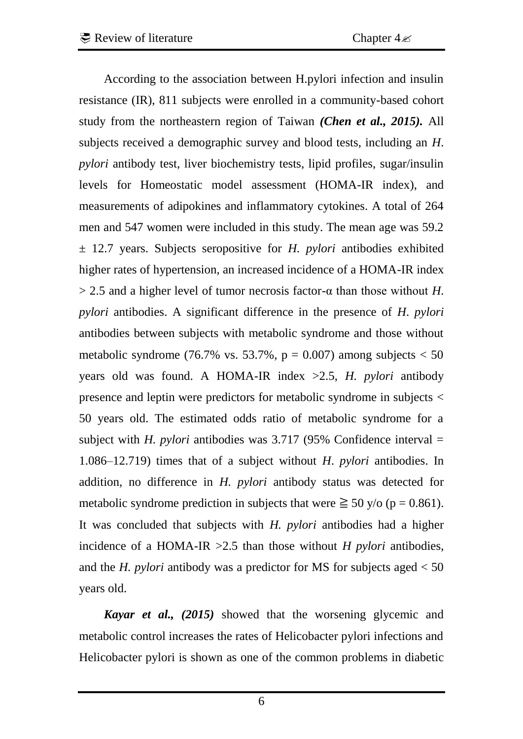According to the association between H.pylori infection and insulin resistance (IR), 811 subjects were enrolled in a community-based cohort study from the northeastern region of Taiwan *(Chen et al., 2015).* All subjects received a demographic survey and blood tests, including an *H*. *pylori* antibody test, liver biochemistry tests, lipid profiles, sugar/insulin levels for Homeostatic model assessment (HOMA-IR index), and measurements of adipokines and inflammatory cytokines. A total of 264 men and 547 women were included in this study. The mean age was 59.2 ± 12.7 years. Subjects seropositive for *H. pylori* antibodies exhibited higher rates of hypertension, an increased incidence of a HOMA-IR index > 2.5 and a higher level of tumor necrosis factor-α than those without *H*. *pylori* antibodies. A significant difference in the presence of *H*. *pylori* antibodies between subjects with metabolic syndrome and those without metabolic syndrome (76.7% vs. 53.7%,  $p = 0.007$ ) among subjects  $< 50$ years old was found. A HOMA-IR index >2.5, *H. pylori* antibody presence and leptin were predictors for metabolic syndrome in subjects < 50 years old. The estimated odds ratio of metabolic syndrome for a subject with *H. pylori* antibodies was 3.717 (95% Confidence interval = 1.086–12.719) times that of a subject without *H*. *pylori* antibodies. In addition, no difference in *H. pylori* antibody status was detected for metabolic syndrome prediction in subjects that were  $\geq 50$  y/o (p = 0.861). It was concluded that subjects with *H. pylori* antibodies had a higher incidence of a HOMA-IR >2.5 than those without *H pylori* antibodies, and the *H. pylori* antibody was a predictor for MS for subjects aged < 50 years old.

*Kayar et al., (2015)* showed that the worsening glycemic and metabolic control increases the rates of Helicobacter pylori infections and Helicobacter pylori is shown as one of the common problems in diabetic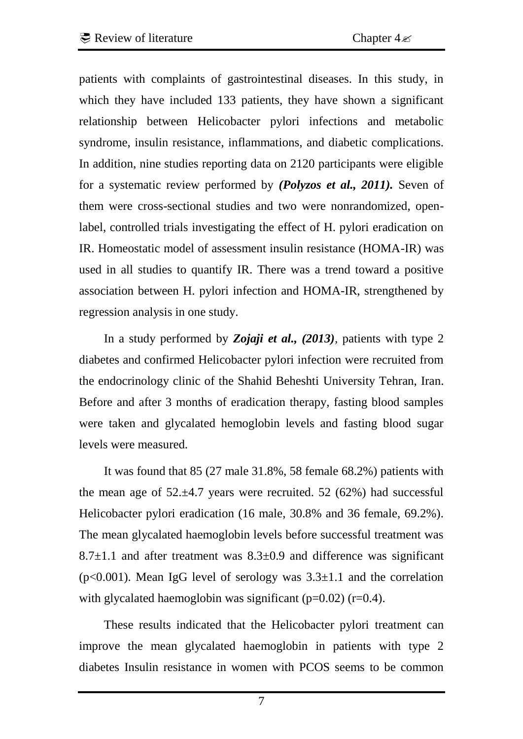patients with complaints of gastrointestinal diseases. In this study, in which they have included 133 patients, they have shown a significant relationship between Helicobacter pylori infections and metabolic syndrome, insulin resistance, inflammations, and diabetic complications. In addition, nine studies reporting data on 2120 participants were eligible for a systematic review performed by *(Polyzos et al., 2011).* Seven of them were cross-sectional studies and two were nonrandomized, openlabel, controlled trials investigating the effect of H. pylori eradication on IR. Homeostatic model of assessment insulin resistance (HOMA-IR) was used in all studies to quantify IR. There was a trend toward a positive association between H. pylori infection and HOMA-IR, strengthened by regression analysis in one study.

In a study performed by *Zojaji et al., (2013),* patients with type 2 diabetes and confirmed Helicobacter pylori infection were recruited from the endocrinology clinic of the Shahid Beheshti University Tehran, Iran. Before and after 3 months of eradication therapy, fasting blood samples were taken and glycalated hemoglobin levels and fasting blood sugar levels were measured.

It was found that 85 (27 male 31.8%, 58 female 68.2%) patients with the mean age of  $52.+4.7$  years were recruited.  $52(62%)$  had successful Helicobacter pylori eradication (16 male, 30.8% and 36 female, 69.2%). The mean glycalated haemoglobin levels before successful treatment was  $8.7\pm1.1$  and after treatment was  $8.3\pm0.9$  and difference was significant  $(p<0.001)$ . Mean IgG level of serology was  $3.3\pm1.1$  and the correlation with glycalated haemoglobin was significant ( $p=0.02$ ) ( $r=0.4$ ).

These results indicated that the Helicobacter pylori treatment can improve the mean glycalated haemoglobin in patients with type 2 diabetes Insulin resistance in women with PCOS seems to be common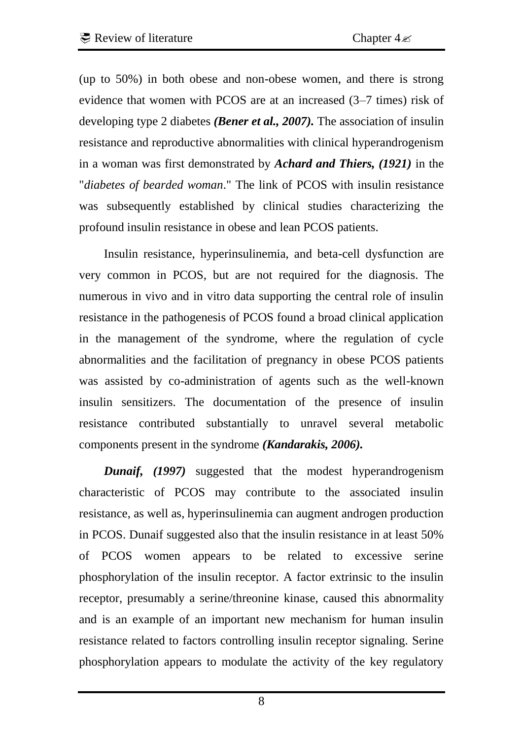(up to 50%) in both obese and non-obese women, and there is strong evidence that women with PCOS are at an increased (3–7 times) risk of developing type 2 diabetes *(Bener et al., 2007).* The association of insulin resistance and reproductive abnormalities with clinical hyperandrogenism in a woman was first demonstrated by *Achard and Thiers, (1921)* in the "*diabetes of bearded woman*." The link of PCOS with insulin resistance was subsequently established by clinical studies characterizing the profound insulin resistance in obese and lean PCOS patients.

Insulin resistance, hyperinsulinemia, and beta-cell dysfunction are very common in PCOS, but are not required for the diagnosis. The numerous in vivo and in vitro data supporting the central role of insulin resistance in the pathogenesis of PCOS found a broad clinical application in the management of the syndrome, where the regulation of cycle abnormalities and the facilitation of pregnancy in obese PCOS patients was assisted by co-administration of agents such as the well-known insulin sensitizers. The documentation of the presence of insulin resistance contributed substantially to unravel several metabolic components present in the syndrome *(Kandarakis, 2006).*

*Dunaif, (1997)* suggested that the modest hyperandrogenism characteristic of PCOS may contribute to the associated insulin resistance, as well as, hyperinsulinemia can augment androgen production in PCOS. Dunaif suggested also that the insulin resistance in at least 50% of PCOS women appears to be related to excessive serine phosphorylation of the insulin receptor. A factor extrinsic to the insulin receptor, presumably a serine/threonine kinase, caused this abnormality and is an example of an important new mechanism for human insulin resistance related to factors controlling insulin receptor signaling. Serine phosphorylation appears to modulate the activity of the key regulatory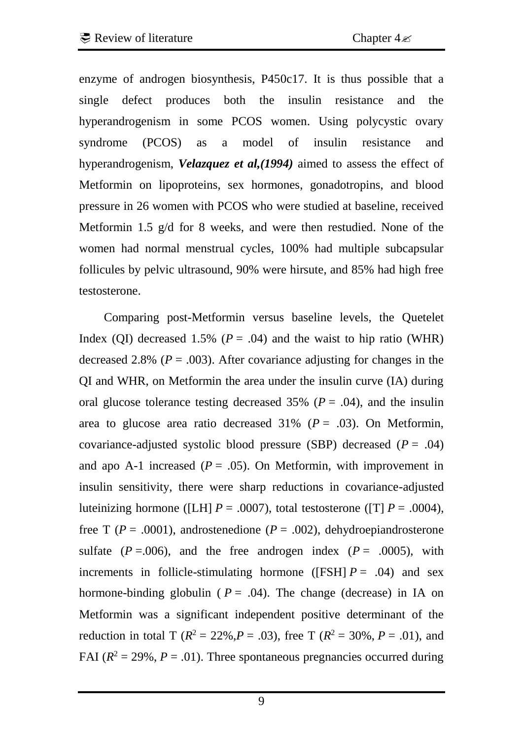enzyme of androgen biosynthesis, P450c17. It is thus possible that a single defect produces both the insulin resistance and the hyperandrogenism in some PCOS women. Using polycystic ovary syndrome (PCOS) as a model of insulin resistance and hyperandrogenism, *[Velazquez](http://www.sciencedirect.com/science/article/pii/0026049594902097) et al,(1994)* aimed to assess the effect of Metformin on lipoproteins, sex hormones, gonadotropins, and blood pressure in 26 women with PCOS who were studied at baseline, received Metformin 1.5 g/d for 8 weeks, and were then restudied. None of the women had normal menstrual cycles, 100% had multiple subcapsular follicules by pelvic ultrasound, 90% were hirsute, and 85% had high free testosterone.

Comparing post-Metformin versus baseline levels, the Quetelet Index (QI) decreased 1.5% ( $P = .04$ ) and the waist to hip ratio (WHR) decreased 2.8% ( $P = .003$ ). After covariance adjusting for changes in the QI and WHR, on Metformin the area under the insulin curve (IA) during oral glucose tolerance testing decreased  $35\%$  ( $P = .04$ ), and the insulin area to glucose area ratio decreased  $31\%$  ( $P = .03$ ). On Metformin, covariance-adjusted systolic blood pressure (SBP) decreased  $(P = .04)$ and apo A-1 increased  $(P = .05)$ . On Metformin, with improvement in insulin sensitivity, there were sharp reductions in covariance-adjusted luteinizing hormone ([LH]  $P = .0007$ ), total testosterone ([T]  $P = .0004$ ), free T ( $P = .0001$ ), androstenedione ( $P = .002$ ), dehydroepiandrosterone sulfate  $(P = .006)$ , and the free androgen index  $(P = .0005)$ , with increments in follicle-stimulating hormone ( $[FSH]$   $P = .04$ ) and sex hormone-binding globulin ( $P = .04$ ). The change (decrease) in IA on Metformin was a significant independent positive determinant of the reduction in total T ( $R^2 = 22\%, P = .03$ ), free T ( $R^2 = 30\%, P = .01$ ), and FAI  $(R^2 = 29\%, P = .01)$ . Three spontaneous pregnancies occurred during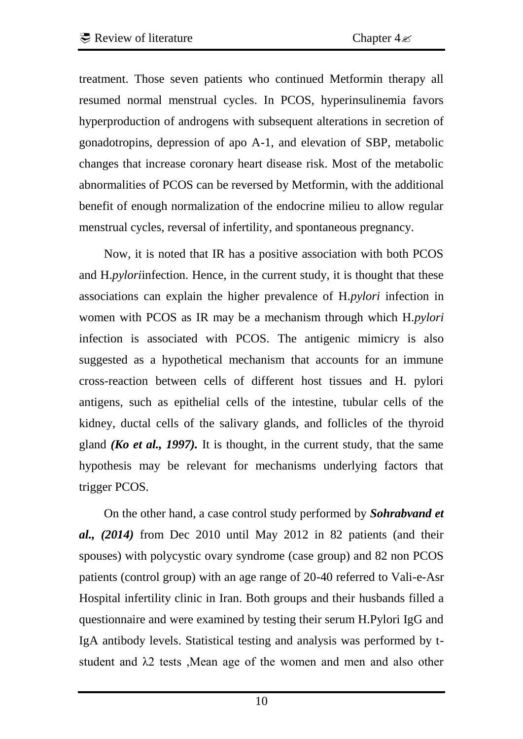treatment. Those seven patients who continued Metformin therapy all resumed normal menstrual cycles. In PCOS, hyperinsulinemia favors hyperproduction of androgens with subsequent alterations in secretion of gonadotropins, depression of apo A-1, and elevation of SBP, metabolic changes that increase coronary heart disease risk. Most of the metabolic abnormalities of PCOS can be reversed by Metformin, with the additional benefit of enough normalization of the endocrine milieu to allow regular menstrual cycles, reversal of infertility, and spontaneous pregnancy.

Now, it is noted that IR has a positive association with both PCOS and H.*pylori*infection. Hence, in the current study, it is thought that these associations can explain the higher prevalence of H.*pylori* infection in women with PCOS as IR may be a mechanism through which H.*pylori* infection is associated with PCOS. The antigenic mimicry is also suggested as a hypothetical mechanism that accounts for an immune cross-reaction between cells of different host tissues and H. pylori antigens, such as epithelial cells of the intestine, tubular cells of the kidney, ductal cells of the salivary glands, and follicles of the thyroid gland *(Ko et al., 1997).* It is thought, in the current study, that the same hypothesis may be relevant for mechanisms underlying factors that trigger PCOS.

On the other hand, a case control study performed by *Sohrabvand et al., (2014)* from Dec 2010 until May 2012 in 82 patients (and their spouses) with polycystic ovary syndrome (case group) and 82 non PCOS patients (control group) with an age range of 20-40 referred to Vali-e-Asr Hospital infertility clinic in Iran. Both groups and their husbands filled a questionnaire and were examined by testing their serum H.Pylori IgG and IgA antibody levels. Statistical testing and analysis was performed by tstudent and  $\lambda$ 2 tests , Mean age of the women and men and also other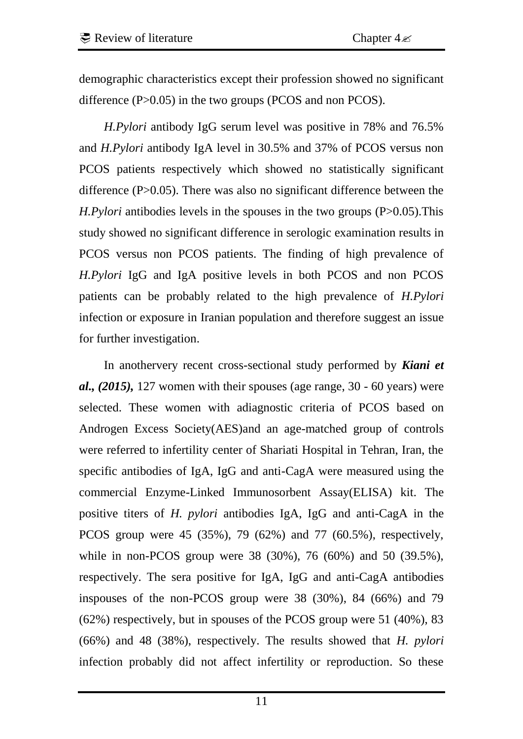demographic characteristics except their profession showed no significant difference (P>0.05) in the two groups (PCOS and non PCOS).

*H.Pylori* antibody IgG serum level was positive in 78% and 76.5% and *H.Pylori* antibody IgA level in 30.5% and 37% of PCOS versus non PCOS patients respectively which showed no statistically significant difference (P>0.05). There was also no significant difference between the *H.Pylori* antibodies levels in the spouses in the two groups (P>0.05). This study showed no significant difference in serologic examination results in PCOS versus non PCOS patients. The finding of high prevalence of *H.Pylori* IgG and IgA positive levels in both PCOS and non PCOS patients can be probably related to the high prevalence of *H.Pylori* infection or exposure in Iranian population and therefore suggest an issue for further investigation.

In anothervery recent cross-sectional study performed by *Kiani et al., (2015),* 127 women with their spouses (age range, 30 - 60 years) were selected. These women with adiagnostic criteria of PCOS based on Androgen Excess Society(AES)and an age-matched group of controls were referred to infertility center of Shariati Hospital in Tehran, Iran, the specific antibodies of IgA, IgG and anti-CagA were measured using the commercial Enzyme-Linked Immunosorbent Assay(ELISA) kit. The positive titers of *H. pylori* antibodies IgA, IgG and anti-CagA in the PCOS group were 45 (35%), 79 (62%) and 77 (60.5%), respectively, while in non-PCOS group were 38 (30%), 76 (60%) and 50 (39.5%), respectively. The sera positive for IgA, IgG and anti-CagA antibodies inspouses of the non-PCOS group were 38 (30%), 84 (66%) and 79 (62%) respectively, but in spouses of the PCOS group were 51 (40%), 83 (66%) and 48 (38%), respectively. The results showed that *H. pylori*  infection probably did not affect infertility or reproduction. So these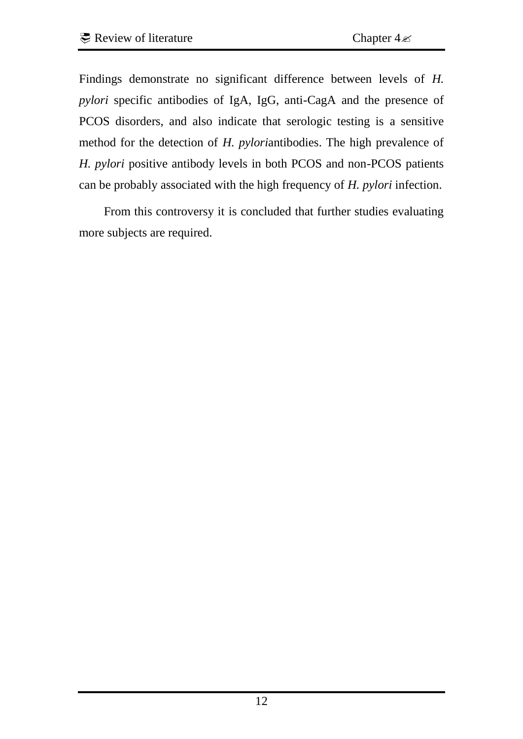Findings demonstrate no significant difference between levels of *H. pylori* specific antibodies of IgA, IgG, anti-CagA and the presence of PCOS disorders, and also indicate that serologic testing is a sensitive method for the detection of *H. pylori*antibodies. The high prevalence of *H. pylori* positive antibody levels in both PCOS and non-PCOS patients can be probably associated with the high frequency of *H. pylori* infection.

From this controversy it is concluded that further studies evaluating more subjects are required.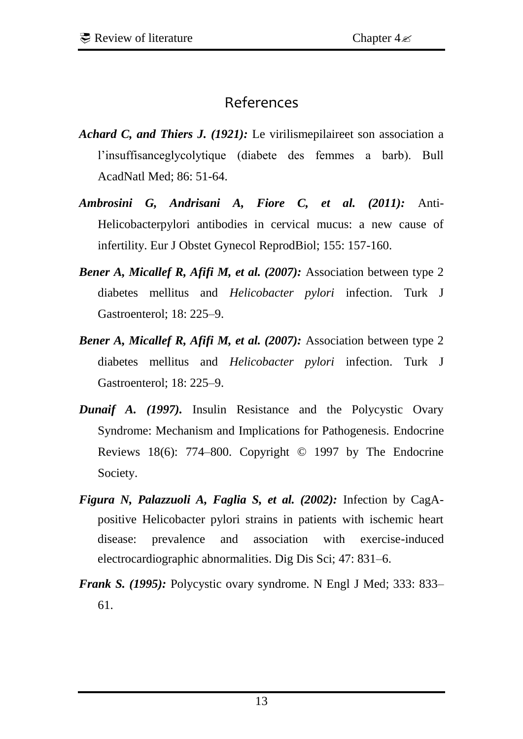## References

- *Achard C, and Thiers J. (1921):* Le virilismepilaireet son association a l'insuffisanceglycolytique (diabete des femmes a barb). Bull AcadNatl Med; 86: 51-64.
- *Ambrosini G, Andrisani A, Fiore C, et al. (2011):* Anti-Helicobacterpylori antibodies in cervical mucus: a new cause of infertility. Eur J Obstet Gynecol ReprodBiol; 155: 157-160.
- *Bener A, Micallef R, Afifi M, et al. (2007):* Association between type 2 diabetes mellitus and *Helicobacter pylori* infection. Turk J Gastroenterol; 18: 225–9.
- *Bener A, Micallef R, Afifi M, et al. (2007):* Association between type 2 diabetes mellitus and *Helicobacter pylori* infection. Turk J Gastroenterol; 18: 225–9.
- *Dunaif A. (1997).* Insulin Resistance and the Polycystic Ovary Syndrome: Mechanism and Implications for Pathogenesis*.* Endocrine Reviews 18(6): 774–800. Copyright © 1997 by The Endocrine Society.
- *Figura N, Palazzuoli A, Faglia S, et al. (2002):* Infection by CagApositive Helicobacter pylori strains in patients with ischemic heart disease: prevalence and association with exercise-induced electrocardiographic abnormalities. Dig Dis Sci; 47: 831–6.
- *Frank S. (1995):* Polycystic ovary syndrome. N Engl J Med; 333: 833– 61.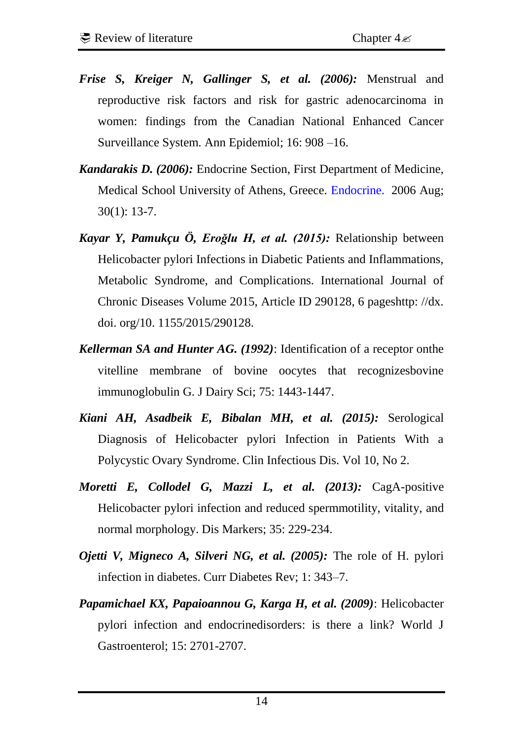- *Frise S, Kreiger N, Gallinger S, et al. (2006):* Menstrual and reproductive risk factors and risk for gastric adenocarcinoma in women: findings from the Canadian National Enhanced Cancer Surveillance System. Ann Epidemiol; 16: 908 –16.
- *Kandarakis D. (2006):* Endocrine Section, First Department of Medicine, Medical School University of Athens, Greece. [Endocrine.](http://www.ncbi.nlm.nih.gov/pubmed/17185787) 2006 Aug; 30(1): 13-7.
- *Kayar Y, Pamukçu Ö, Eroğlu H, et al. (2015):* Relationship between Helicobacter pylori Infections in Diabetic Patients and Inflammations, Metabolic Syndrome, and Complications. International Journal of Chronic Diseases Volume 2015, Article ID 290128, 6 pageshttp: //dx. doi. org/10. 1155/2015/290128.
- *Kellerman SA and Hunter AG. (1992)*: Identification of a receptor onthe vitelline membrane of bovine oocytes that recognizesbovine immunoglobulin G. J Dairy Sci; 75: 1443-1447.
- *Kiani AH, Asadbeik E, Bibalan MH, et al. (2015):* Serological Diagnosis of Helicobacter pylori Infection in Patients With a Polycystic Ovary Syndrome. Clin Infectious Dis. Vol 10, No 2.
- *Moretti E, Collodel G, Mazzi L, et al. (2013):* CagA-positive Helicobacter pylori infection and reduced spermmotility, vitality, and normal morphology. Dis Markers; 35: 229-234.
- *Ojetti V, Migneco A, Silveri NG, et al. (2005):* The role of H. pylori infection in diabetes. Curr Diabetes Rev; 1: 343–7.
- *Papamichael KX, Papaioannou G, Karga H, et al. (2009)*: Helicobacter pylori infection and endocrinedisorders: is there a link? World J Gastroenterol; 15: 2701-2707.